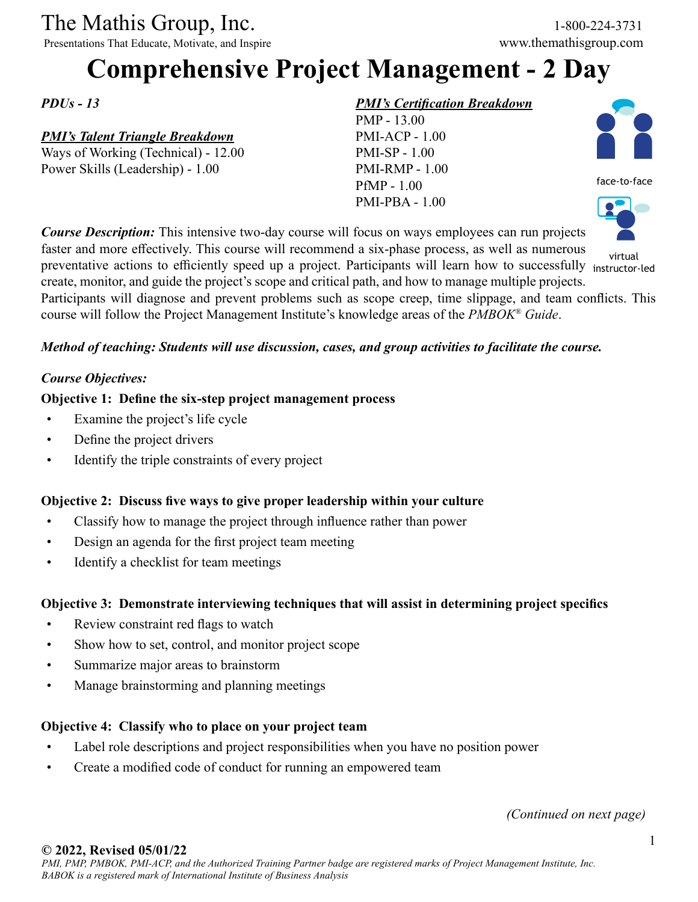# The Mathis Group, Inc. 1-800-224-3731<br>
Presentations That Educate, Motivate, and Inspire www.themathisgroup.com

Presentations That Educate, Motivate, and Inspire

## **Comprehensive Project Management - 2 Day**

*PDUs - 13*

#### *PMI's Talent Triangle Breakdown*

Ways of Working (Technical) - 12.00 Power Skills (Leadership) - 1.00

#### *PMI's Certification Breakdown*

PMP - 13.00 PMI-ACP - 1.00 PMI-SP - 1.00 PMI-RMP - 1.00 PfMP - 1.00 PMI-PBA - 1.00



face-to-face



*Course Description:* This intensive two-day course will focus on ways employees can run projects faster and more effectively. This course will recommend a six-phase process, as well as numerous preventative actions to efficiently speed up a project. Participants will learn how to successfully instructor-led create, monitor, and guide the project's scope and critical path, and how to manage multiple projects. Participants will diagnose and prevent problems such as scope creep, time slippage, and team conflicts. This course will follow the Project Management Institute's knowledge areas of the *PMBOK® Guide*. virtual

#### *Method of teaching: Students will use discussion, cases, and group activities to facilitate the course.*

#### *Course Objectives:*

#### **Objective 1: Define the six-step project management process**

- Examine the project's life cycle
- Define the project drivers
- Identify the triple constraints of every project

#### **Objective 2: Discuss five ways to give proper leadership within your culture**

- Classify how to manage the project through influence rather than power
- Design an agenda for the first project team meeting
- Identify a checklist for team meetings

#### **Objective 3: Demonstrate interviewing techniques that will assist in determining project specifics**

- Review constraint red flags to watch
- Show how to set, control, and monitor project scope
- Summarize major areas to brainstorm
- Manage brainstorming and planning meetings

#### **Objective 4: Classify who to place on your project team**

- Label role descriptions and project responsibilities when you have no position power
- Create a modified code of conduct for running an empowered team

*(Continued on next page)*

#### **© 2022, Revised 05/01/22**